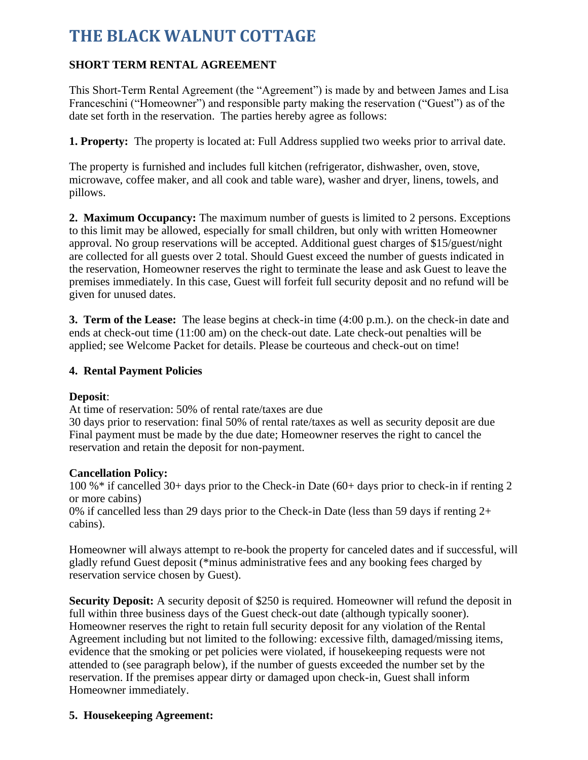# **THE BLACK WALNUT COTTAGE**

## **SHORT TERM RENTAL AGREEMENT**

This Short-Term Rental Agreement (the "Agreement") is made by and between James and Lisa Franceschini ("Homeowner") and responsible party making the reservation ("Guest") as of the date set forth in the reservation. The parties hereby agree as follows:

**1. Property:** The property is located at: Full Address supplied two weeks prior to arrival date.

The property is furnished and includes full kitchen (refrigerator, dishwasher, oven, stove, microwave, coffee maker, and all cook and table ware), washer and dryer, linens, towels, and pillows.

**2. Maximum Occupancy:** The maximum number of guests is limited to 2 persons. Exceptions to this limit may be allowed, especially for small children, but only with written Homeowner approval. No group reservations will be accepted. Additional guest charges of \$15/guest/night are collected for all guests over 2 total. Should Guest exceed the number of guests indicated in the reservation, Homeowner reserves the right to terminate the lease and ask Guest to leave the premises immediately. In this case, Guest will forfeit full security deposit and no refund will be given for unused dates.

**3. Term of the Lease:** The lease begins at check-in time (4:00 p.m.). on the check-in date and ends at check-out time (11:00 am) on the check-out date. Late check-out penalties will be applied; see Welcome Packet for details. Please be courteous and check-out on time!

#### **4. Rental Payment Policies**

#### **Deposit**:

At time of reservation: 50% of rental rate/taxes are due

30 days prior to reservation: final 50% of rental rate/taxes as well as security deposit are due Final payment must be made by the due date; Homeowner reserves the right to cancel the reservation and retain the deposit for non-payment.

#### **Cancellation Policy:**

100 %\* if cancelled 30+ days prior to the Check-in Date (60+ days prior to check-in if renting 2 or more cabins)

0% if cancelled less than 29 days prior to the Check-in Date (less than 59 days if renting 2+ cabins).

Homeowner will always attempt to re-book the property for canceled dates and if successful, will gladly refund Guest deposit (\*minus administrative fees and any booking fees charged by reservation service chosen by Guest).

**Security Deposit:** A security deposit of \$250 is required. Homeowner will refund the deposit in full within three business days of the Guest check-out date (although typically sooner). Homeowner reserves the right to retain full security deposit for any violation of the Rental Agreement including but not limited to the following: excessive filth, damaged/missing items, evidence that the smoking or pet policies were violated, if housekeeping requests were not attended to (see paragraph below), if the number of guests exceeded the number set by the reservation. If the premises appear dirty or damaged upon check-in, Guest shall inform Homeowner immediately.

#### **5. Housekeeping Agreement:**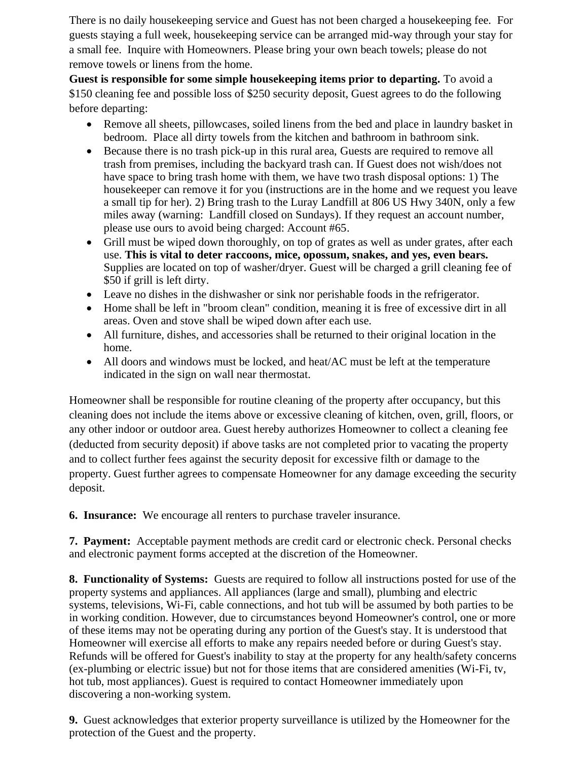There is no daily housekeeping service and Guest has not been charged a housekeeping fee. For guests staying a full week, housekeeping service can be arranged mid-way through your stay for a small fee. Inquire with Homeowners. Please bring your own beach towels; please do not remove towels or linens from the home.

**Guest is responsible for some simple housekeeping items prior to departing.** To avoid a \$150 cleaning fee and possible loss of \$250 security deposit, Guest agrees to do the following before departing:

- Remove all sheets, pillowcases, soiled linens from the bed and place in laundry basket in bedroom. Place all dirty towels from the kitchen and bathroom in bathroom sink.
- Because there is no trash pick-up in this rural area, Guests are required to remove all trash from premises, including the backyard trash can. If Guest does not wish/does not have space to bring trash home with them, we have two trash disposal options: 1) The housekeeper can remove it for you (instructions are in the home and we request you leave a small tip for her). 2) Bring trash to the Luray Landfill at 806 US Hwy 340N, only a few miles away (warning: Landfill closed on Sundays). If they request an account number, please use ours to avoid being charged: Account #65.
- Grill must be wiped down thoroughly, on top of grates as well as under grates, after each use. **This is vital to deter raccoons, mice, opossum, snakes, and yes, even bears.** Supplies are located on top of washer/dryer. Guest will be charged a grill cleaning fee of \$50 if grill is left dirty.
- Leave no dishes in the dishwasher or sink nor perishable foods in the refrigerator.
- Home shall be left in "broom clean" condition, meaning it is free of excessive dirt in all areas. Oven and stove shall be wiped down after each use.
- All furniture, dishes, and accessories shall be returned to their original location in the home.
- All doors and windows must be locked, and heat/AC must be left at the temperature indicated in the sign on wall near thermostat.

Homeowner shall be responsible for routine cleaning of the property after occupancy, but this cleaning does not include the items above or excessive cleaning of kitchen, oven, grill, floors, or any other indoor or outdoor area. Guest hereby authorizes Homeowner to collect a cleaning fee (deducted from security deposit) if above tasks are not completed prior to vacating the property and to collect further fees against the security deposit for excessive filth or damage to the property. Guest further agrees to compensate Homeowner for any damage exceeding the security deposit.

**6. Insurance:** We encourage all renters to purchase traveler insurance.

**7. Payment:** Acceptable payment methods are credit card or electronic check. Personal checks and electronic payment forms accepted at the discretion of the Homeowner.

**8. Functionality of Systems:** Guests are required to follow all instructions posted for use of the property systems and appliances. All appliances (large and small), plumbing and electric systems, televisions, Wi-Fi, cable connections, and hot tub will be assumed by both parties to be in working condition. However, due to circumstances beyond Homeowner's control, one or more of these items may not be operating during any portion of the Guest's stay. It is understood that Homeowner will exercise all efforts to make any repairs needed before or during Guest's stay. Refunds will be offered for Guest's inability to stay at the property for any health/safety concerns (ex-plumbing or electric issue) but not for those items that are considered amenities (Wi-Fi, tv, hot tub, most appliances). Guest is required to contact Homeowner immediately upon discovering a non-working system.

**9.** Guest acknowledges that exterior property surveillance is utilized by the Homeowner for the protection of the Guest and the property.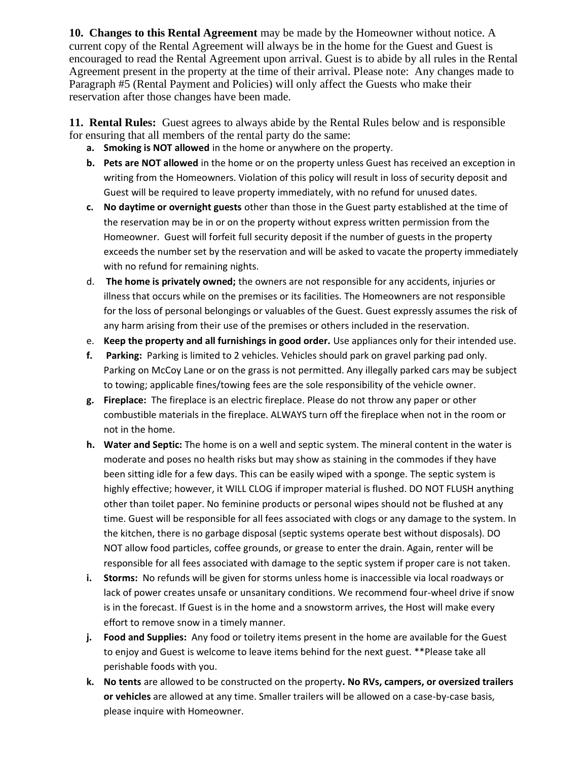**10. Changes to this Rental Agreement** may be made by the Homeowner without notice. A current copy of the Rental Agreement will always be in the home for the Guest and Guest is encouraged to read the Rental Agreement upon arrival. Guest is to abide by all rules in the Rental Agreement present in the property at the time of their arrival. Please note: Any changes made to Paragraph #5 (Rental Payment and Policies) will only affect the Guests who make their reservation after those changes have been made.

**11. Rental Rules:** Guest agrees to always abide by the Rental Rules below and is responsible for ensuring that all members of the rental party do the same:

- **a. Smoking is NOT allowed** in the home or anywhere on the property.
- **b. Pets are NOT allowed** in the home or on the property unless Guest has received an exception in writing from the Homeowners. Violation of this policy will result in loss of security deposit and Guest will be required to leave property immediately, with no refund for unused dates.
- **c. No daytime or overnight guests** other than those in the Guest party established at the time of the reservation may be in or on the property without express written permission from the Homeowner. Guest will forfeit full security deposit if the number of guests in the property exceeds the number set by the reservation and will be asked to vacate the property immediately with no refund for remaining nights.
- d. **The home is privately owned;** the owners are not responsible for any accidents, injuries or illness that occurs while on the premises or its facilities. The Homeowners are not responsible for the loss of personal belongings or valuables of the Guest. Guest expressly assumes the risk of any harm arising from their use of the premises or others included in the reservation.
- e. **Keep the property and all furnishings in good order.** Use appliances only for their intended use.
- **f. Parking:** Parking is limited to 2 vehicles. Vehicles should park on gravel parking pad only. Parking on McCoy Lane or on the grass is not permitted. Any illegally parked cars may be subject to towing; applicable fines/towing fees are the sole responsibility of the vehicle owner.
- **g. Fireplace:** The fireplace is an electric fireplace. Please do not throw any paper or other combustible materials in the fireplace. ALWAYS turn off the fireplace when not in the room or not in the home.
- **h. Water and Septic:** The home is on a well and septic system. The mineral content in the water is moderate and poses no health risks but may show as staining in the commodes if they have been sitting idle for a few days. This can be easily wiped with a sponge. The septic system is highly effective; however, it WILL CLOG if improper material is flushed. DO NOT FLUSH anything other than toilet paper. No feminine products or personal wipes should not be flushed at any time. Guest will be responsible for all fees associated with clogs or any damage to the system. In the kitchen, there is no garbage disposal (septic systems operate best without disposals). DO NOT allow food particles, coffee grounds, or grease to enter the drain. Again, renter will be responsible for all fees associated with damage to the septic system if proper care is not taken.
- **i. Storms:** No refunds will be given for storms unless home is inaccessible via local roadways or lack of power creates unsafe or unsanitary conditions. We recommend four-wheel drive if snow is in the forecast. If Guest is in the home and a snowstorm arrives, the Host will make every effort to remove snow in a timely manner.
- **j. Food and Supplies:** Any food or toiletry items present in the home are available for the Guest to enjoy and Guest is welcome to leave items behind for the next guest. \*\*Please take all perishable foods with you.
- **k. No tents** are allowed to be constructed on the property**. No RVs, campers, or oversized trailers or vehicles** are allowed at any time. Smaller trailers will be allowed on a case-by-case basis, please inquire with Homeowner.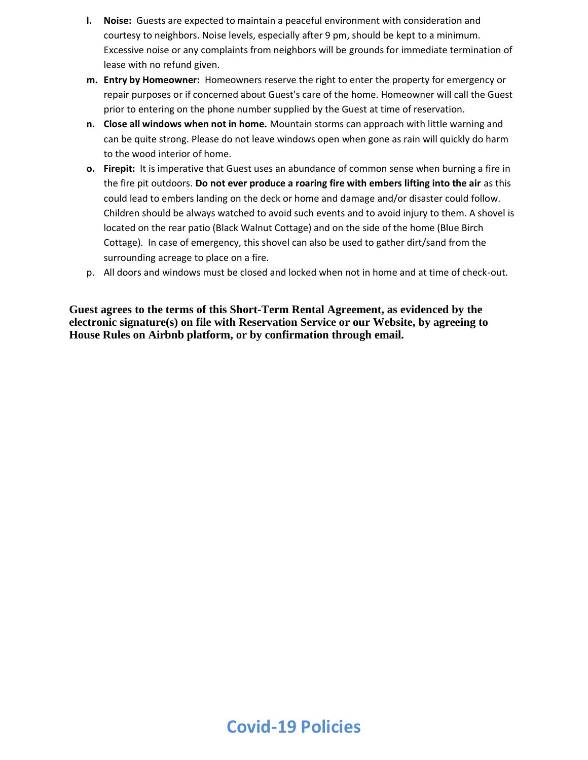- **l. Noise:** Guests are expected to maintain a peaceful environment with consideration and courtesy to neighbors. Noise levels, especially after 9 pm, should be kept to a minimum. Excessive noise or any complaints from neighbors will be grounds for immediate termination of lease with no refund given.
- **m. Entry by Homeowner:** Homeowners reserve the right to enter the property for emergency or repair purposes or if concerned about Guest's care of the home. Homeowner will call the Guest prior to entering on the phone number supplied by the Guest at time of reservation.
- **n. Close all windows when not in home.** Mountain storms can approach with little warning and can be quite strong. Please do not leave windows open when gone as rain will quickly do harm to the wood interior of home.
- **o. Firepit:** It is imperative that Guest uses an abundance of common sense when burning a fire in the fire pit outdoors. **Do not ever produce a roaring fire with embers lifting into the air** as this could lead to embers landing on the deck or home and damage and/or disaster could follow. Children should be always watched to avoid such events and to avoid injury to them. A shovel is located on the rear patio (Black Walnut Cottage) and on the side of the home (Blue Birch Cottage). In case of emergency, this shovel can also be used to gather dirt/sand from the surrounding acreage to place on a fire.
- p. All doors and windows must be closed and locked when not in home and at time of check-out.

**Guest agrees to the terms of this Short-Term Rental Agreement, as evidenced by the electronic signature(s) on file with Reservation Service or our Website, by agreeing to House Rules on Airbnb platform, or by confirmation through email.**